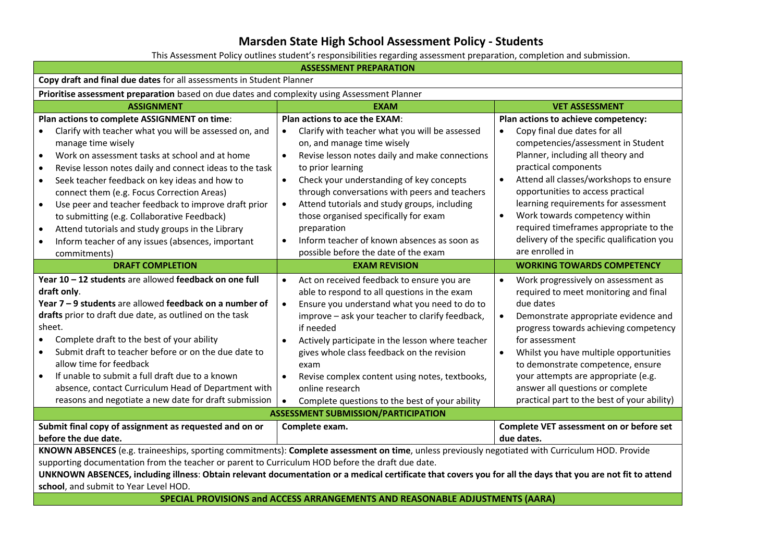## **Marsden State High School Assessment Policy - Students**

This Assessment Policy outlines student's responsibilities regarding assessment preparation, completion and submission.

| <b>ASSESSMENT PREPARATION</b>                                                                                                                                                                                                                                                                                                                                                                                                                                                                                                                                                          |                                                                                                                                                                                                                                                                                                                                                                                                                                                                                    |                                                                                                                                                                                                                                                                                                                                                                                                                                              |
|----------------------------------------------------------------------------------------------------------------------------------------------------------------------------------------------------------------------------------------------------------------------------------------------------------------------------------------------------------------------------------------------------------------------------------------------------------------------------------------------------------------------------------------------------------------------------------------|------------------------------------------------------------------------------------------------------------------------------------------------------------------------------------------------------------------------------------------------------------------------------------------------------------------------------------------------------------------------------------------------------------------------------------------------------------------------------------|----------------------------------------------------------------------------------------------------------------------------------------------------------------------------------------------------------------------------------------------------------------------------------------------------------------------------------------------------------------------------------------------------------------------------------------------|
| Copy draft and final due dates for all assessments in Student Planner                                                                                                                                                                                                                                                                                                                                                                                                                                                                                                                  |                                                                                                                                                                                                                                                                                                                                                                                                                                                                                    |                                                                                                                                                                                                                                                                                                                                                                                                                                              |
| Prioritise assessment preparation based on due dates and complexity using Assessment Planner                                                                                                                                                                                                                                                                                                                                                                                                                                                                                           |                                                                                                                                                                                                                                                                                                                                                                                                                                                                                    |                                                                                                                                                                                                                                                                                                                                                                                                                                              |
| <b>ASSIGNMENT</b>                                                                                                                                                                                                                                                                                                                                                                                                                                                                                                                                                                      | <b>EXAM</b>                                                                                                                                                                                                                                                                                                                                                                                                                                                                        | <b>VET ASSESSMENT</b>                                                                                                                                                                                                                                                                                                                                                                                                                        |
| Plan actions to complete ASSIGNMENT on time:                                                                                                                                                                                                                                                                                                                                                                                                                                                                                                                                           | Plan actions to ace the EXAM:                                                                                                                                                                                                                                                                                                                                                                                                                                                      | Plan actions to achieve competency:                                                                                                                                                                                                                                                                                                                                                                                                          |
| Clarify with teacher what you will be assessed on, and<br>$\bullet$<br>manage time wisely<br>Work on assessment tasks at school and at home<br>$\bullet$<br>Revise lesson notes daily and connect ideas to the task<br>$\bullet$<br>Seek teacher feedback on key ideas and how to<br>$\bullet$<br>connect them (e.g. Focus Correction Areas)<br>Use peer and teacher feedback to improve draft prior<br>$\bullet$<br>to submitting (e.g. Collaborative Feedback)<br>Attend tutorials and study groups in the Library<br>$\bullet$<br>Inform teacher of any issues (absences, important | Clarify with teacher what you will be assessed<br>on, and manage time wisely<br>Revise lesson notes daily and make connections<br>$\bullet$<br>to prior learning<br>Check your understanding of key concepts<br>$\bullet$<br>through conversations with peers and teachers<br>Attend tutorials and study groups, including<br>those organised specifically for exam<br>preparation<br>Inform teacher of known absences as soon as                                                  | Copy final due dates for all<br>competencies/assessment in Student<br>Planner, including all theory and<br>practical components<br>Attend all classes/workshops to ensure<br>$\bullet$<br>opportunities to access practical<br>learning requirements for assessment<br>Work towards competency within<br>required timeframes appropriate to the<br>delivery of the specific qualification you                                                |
| commitments)                                                                                                                                                                                                                                                                                                                                                                                                                                                                                                                                                                           | possible before the date of the exam                                                                                                                                                                                                                                                                                                                                                                                                                                               | are enrolled in                                                                                                                                                                                                                                                                                                                                                                                                                              |
| <b>DRAFT COMPLETION</b>                                                                                                                                                                                                                                                                                                                                                                                                                                                                                                                                                                | <b>EXAM REVISION</b>                                                                                                                                                                                                                                                                                                                                                                                                                                                               | <b>WORKING TOWARDS COMPETENCY</b>                                                                                                                                                                                                                                                                                                                                                                                                            |
| Year 10 - 12 students are allowed feedback on one full<br>draft only.<br>Year 7 - 9 students are allowed feedback on a number of<br>drafts prior to draft due date, as outlined on the task<br>sheet.<br>Complete draft to the best of your ability<br>$\bullet$<br>Submit draft to teacher before or on the due date to<br>allow time for feedback<br>If unable to submit a full draft due to a known<br>$\bullet$<br>absence, contact Curriculum Head of Department with<br>reasons and negotiate a new date for draft submission                                                    | Act on received feedback to ensure you are<br>$\bullet$<br>able to respond to all questions in the exam<br>Ensure you understand what you need to do to<br>$\bullet$<br>improve - ask your teacher to clarify feedback,<br>if needed<br>Actively participate in the lesson where teacher<br>gives whole class feedback on the revision<br>exam<br>Revise complex content using notes, textbooks,<br>$\bullet$<br>online research<br>Complete questions to the best of your ability | Work progressively on assessment as<br>$\bullet$<br>required to meet monitoring and final<br>due dates<br>Demonstrate appropriate evidence and<br>$\bullet$<br>progress towards achieving competency<br>for assessment<br>Whilst you have multiple opportunities<br>$\bullet$<br>to demonstrate competence, ensure<br>your attempts are appropriate (e.g.<br>answer all questions or complete<br>practical part to the best of your ability) |
| <b>ASSESSMENT SUBMISSION/PARTICIPATION</b>                                                                                                                                                                                                                                                                                                                                                                                                                                                                                                                                             |                                                                                                                                                                                                                                                                                                                                                                                                                                                                                    |                                                                                                                                                                                                                                                                                                                                                                                                                                              |
| Submit final copy of assignment as requested and on or<br>before the due date.                                                                                                                                                                                                                                                                                                                                                                                                                                                                                                         | Complete exam.                                                                                                                                                                                                                                                                                                                                                                                                                                                                     | Complete VET assessment on or before set<br>due dates.                                                                                                                                                                                                                                                                                                                                                                                       |
| KNOWN ABSENCES (e.g. traineeships, sporting commitments): Complete assessment on time, unless previously negotiated with Curriculum HOD. Provide<br>supporting documentation from the teacher or parent to Curriculum HOD before the draft due date.<br>UNKNOWN ABSENCES, including illness: Obtain relevant documentation or a medical certificate that covers you for all the days that you are not fit to attend<br>school, and submit to Year Level HOD.<br>SPECIAL PROVISIONS and ACCESS ARRANGEMENTS AND REASONABLE ADJUSTMENTS (AARA)                                           |                                                                                                                                                                                                                                                                                                                                                                                                                                                                                    |                                                                                                                                                                                                                                                                                                                                                                                                                                              |